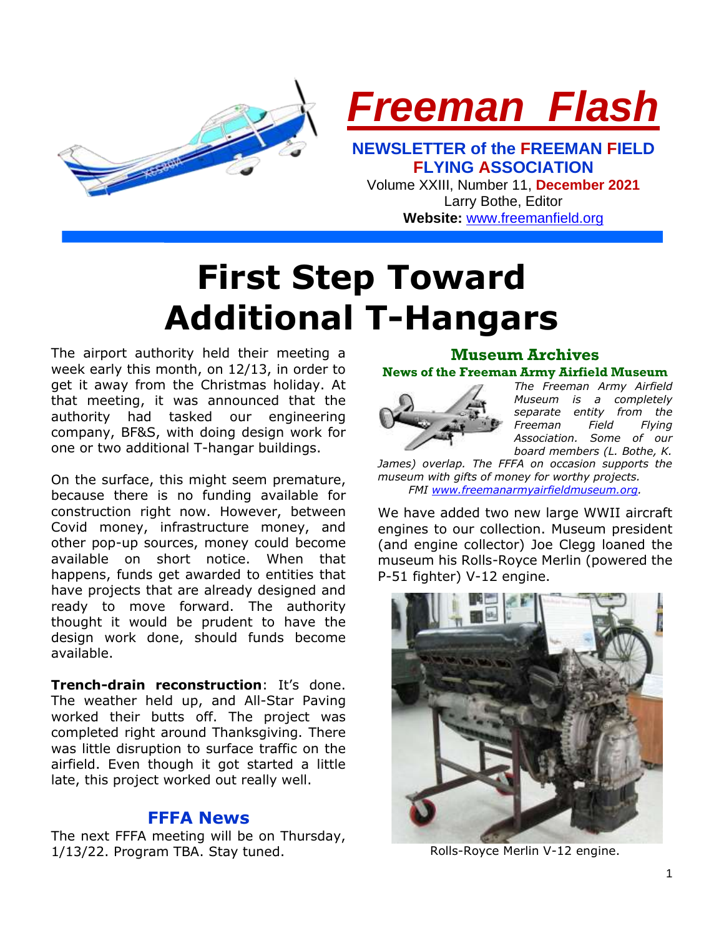

**Website:** [www.freemanfield.org](http://www.freemanfield.org/)

# **First Step Toward Additional T-Hangars**

The airport authority held their meeting a week early this month, on 12/13, in order to get it away from the Christmas holiday. At that meeting, it was announced that the authority had tasked our engineering company, BF&S, with doing design work for one or two additional T-hangar buildings.

On the surface, this might seem premature, because there is no funding available for construction right now. However, between Covid money, infrastructure money, and other pop-up sources, money could become available on short notice. When that happens, funds get awarded to entities that have projects that are already designed and ready to move forward. The authority thought it would be prudent to have the design work done, should funds become available.

**Trench-drain reconstruction**: It's done. The weather held up, and All-Star Paving worked their butts off. The project was completed right around Thanksgiving. There was little disruption to surface traffic on the airfield. Even though it got started a little late, this project worked out really well.

### **FFFA News**

The next FFFA meeting will be on Thursday, 1/13/22. Program TBA. Stay tuned.

#### **Museum Archives News of the Freeman Army Airfield Museum**



*The Freeman Army Airfield Museum is a completely separate entity from the Freeman Field Flying Association. Some of our board members (L. Bothe, K.* 

*James) overlap. The FFFA on occasion supports the museum with gifts of money for worthy projects. FMI [www.freemanarmyairfieldmuseum.org.](http://www.freemanarmyairfieldmuseum.org/)*

We have added two new large WWII aircraft engines to our collection. Museum president (and engine collector) Joe Clegg loaned the museum his Rolls-Royce Merlin (powered the P-51 fighter) V-12 engine.



Rolls-Royce Merlin V-12 engine.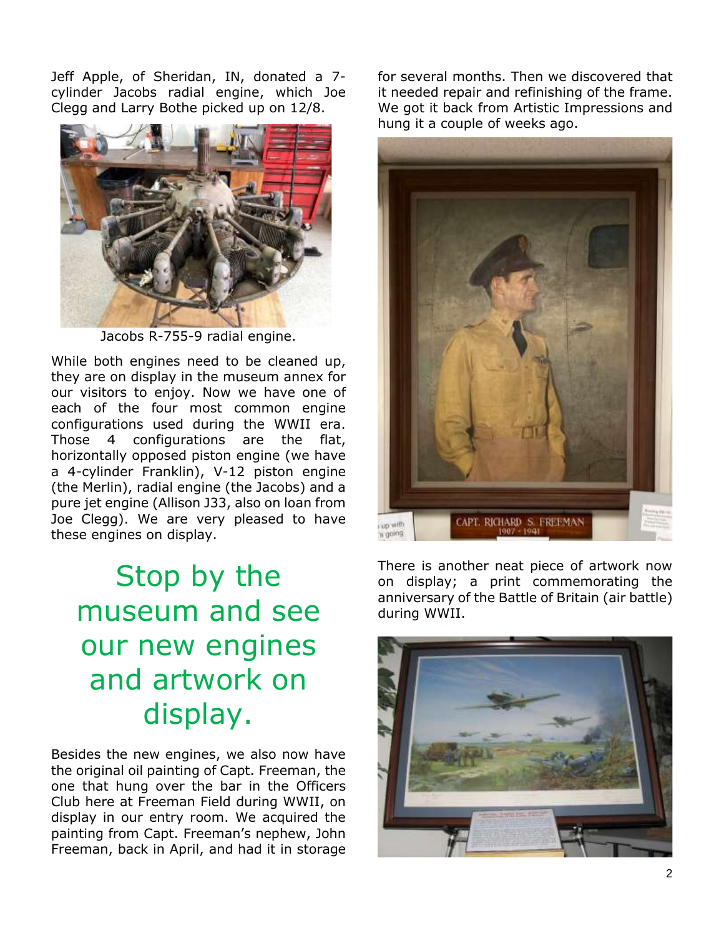Jeff Apple, of Sheridan, IN, donated a 7 cylinder Jacobs radial engine, which Joe Clegg and Larry Bothe picked up on 12/8.



Jacobs R-755-9 radial engine.

While both engines need to be cleaned up, they are on display in the museum annex for our visitors to enjoy. Now we have one of each of the four most common engine configurations used during the WWII era. Those 4 configurations are the flat, horizontally opposed piston engine (we have a 4-cylinder Franklin), V-12 piston engine (the Merlin), radial engine (the Jacobs) and a pure jet engine (Allison J33, also on loan from Joe Clegg). We are very pleased to have these engines on display.

# Stop by the museum and see our new engines and artwork on display.

Besides the new engines, we also now have the original oil painting of Capt. Freeman, the one that hung over the bar in the Officers Club here at Freeman Field during WWII, on display in our entry room. We acquired the painting from Capt. Freeman's nephew, John Freeman, back in April, and had it in storage for several months. Then we discovered that it needed repair and refinishing of the frame. We got it back from Artistic Impressions and hung it a couple of weeks ago.



There is another neat piece of artwork now on display; a print commemorating the anniversary of the Battle of Britain (air battle) during WWII.

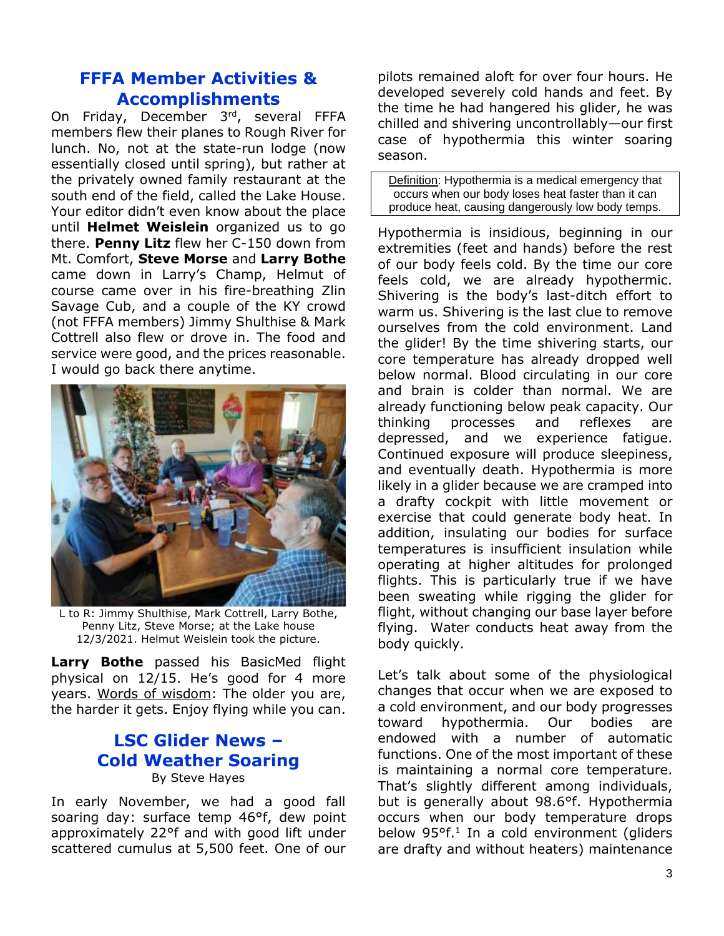# **FFFA Member Activities & Accomplishments**

On Friday, December 3<sup>rd</sup>, several FFFA members flew their planes to Rough River for lunch. No, not at the state-run lodge (now essentially closed until spring), but rather at the privately owned family restaurant at the south end of the field, called the Lake House. Your editor didn't even know about the place until **Helmet Weislein** organized us to go there. **Penny Litz** flew her C-150 down from Mt. Comfort, **Steve Morse** and **Larry Bothe**  came down in Larry's Champ, Helmut of course came over in his fire-breathing Zlin Savage Cub, and a couple of the KY crowd (not FFFA members) Jimmy Shulthise & Mark Cottrell also flew or drove in. The food and service were good, and the prices reasonable. I would go back there anytime.



L to R: Jimmy Shulthise, Mark Cottrell, Larry Bothe, Penny Litz, Steve Morse; at the Lake house 12/3/2021. Helmut Weislein took the picture.

**Larry Bothe** passed his BasicMed flight physical on 12/15. He's good for 4 more years. Words of wisdom: The older you are, the harder it gets. Enjoy flying while you can.

## **LSC Glider News – Cold Weather Soaring** By Steve Hayes

In early November, we had a good fall soaring day: surface temp 46°f, dew point approximately 22°f and with good lift under scattered cumulus at 5,500 feet. One of our

pilots remained aloft for over four hours. He developed severely cold hands and feet. By the time he had hangered his glider, he was chilled and shivering uncontrollably—our first case of hypothermia this winter soaring season.

Definition: Hypothermia is a medical emergency that occurs when our body loses heat faster than it can produce heat, causing dangerously low body temps.

Hypothermia is insidious, beginning in our extremities (feet and hands) before the rest of our body feels cold. By the time our core feels cold, we are already hypothermic. Shivering is the body's last-ditch effort to warm us. Shivering is the last clue to remove ourselves from the cold environment. Land the glider! By the time shivering starts, our core temperature has already dropped well below normal. Blood circulating in our core and brain is colder than normal. We are already functioning below peak capacity. Our thinking processes and reflexes are depressed, and we experience fatigue. Continued exposure will produce sleepiness, and eventually death. Hypothermia is more likely in a glider because we are cramped into a drafty cockpit with little movement or exercise that could generate body heat. In addition, insulating our bodies for surface temperatures is insufficient insulation while operating at higher altitudes for prolonged flights. This is particularly true if we have been sweating while rigging the glider for flight, without changing our base layer before flying. Water conducts heat away from the body quickly.

Let's talk about some of the physiological changes that occur when we are exposed to a cold environment, and our body progresses toward hypothermia. Our bodies are endowed with a number of automatic functions. One of the most important of these is maintaining a normal core temperature. That's slightly different among individuals, but is generally about 98.6°f. Hypothermia occurs when our body temperature drops below 95°f. 1 In a cold environment (gliders are drafty and without heaters) maintenance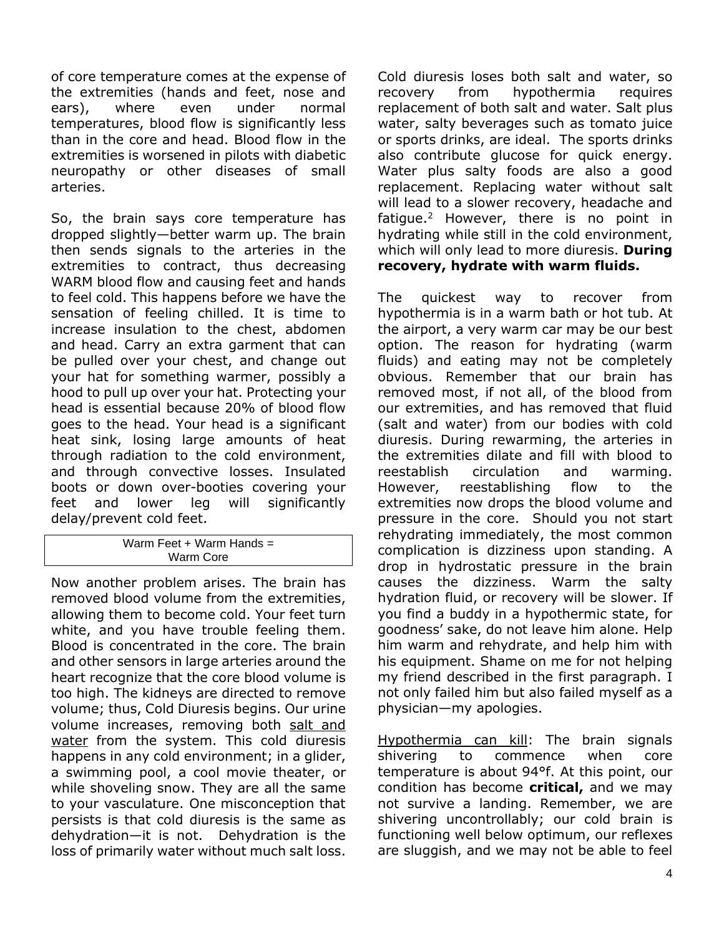of core temperature comes at the expense of the extremities (hands and feet, nose and ears), where even under normal temperatures, blood flow is significantly less than in the core and head. Blood flow in the extremities is worsened in pilots with diabetic neuropathy or other diseases of small arteries.

So, the brain says core temperature has dropped slightly—better warm up. The brain then sends signals to the arteries in the extremities to contract, thus decreasing WARM blood flow and causing feet and hands to feel cold. This happens before we have the sensation of feeling chilled. It is time to increase insulation to the chest, abdomen and head. Carry an extra garment that can be pulled over your chest, and change out your hat for something warmer, possibly a hood to pull up over your hat. Protecting your head is essential because 20% of blood flow goes to the head. Your head is a significant heat sink, losing large amounts of heat through radiation to the cold environment, and through convective losses. Insulated boots or down over-booties covering your feet and lower leg will significantly delay/prevent cold feet.

#### Warm Feet + Warm Hands  $=$ Warm Core

Now another problem arises. The brain has removed blood volume from the extremities, allowing them to become cold. Your feet turn white, and you have trouble feeling them. Blood is concentrated in the core. The brain and other sensors in large arteries around the heart recognize that the core blood volume is too high. The kidneys are directed to remove volume; thus, Cold Diuresis begins. Our urine volume increases, removing both salt and water from the system. This cold diuresis happens in any cold environment; in a glider, a swimming pool, a cool movie theater, or while shoveling snow. They are all the same to your vasculature. One misconception that persists is that cold diuresis is the same as dehydration—it is not. Dehydration is the loss of primarily water without much salt loss.

Cold diuresis loses both salt and water, so recovery from hypothermia requires replacement of both salt and water. Salt plus water, salty beverages such as tomato juice or sports drinks, are ideal. The sports drinks also contribute glucose for quick energy. Water plus salty foods are also a good replacement. Replacing water without salt will lead to a slower recovery, headache and fatigue.<sup>2</sup> However, there is no point in hydrating while still in the cold environment, which will only lead to more diuresis. **During recovery, hydrate with warm fluids.**

The quickest way to recover from hypothermia is in a warm bath or hot tub. At the airport, a very warm car may be our best option. The reason for hydrating (warm fluids) and eating may not be completely obvious. Remember that our brain has removed most, if not all, of the blood from our extremities, and has removed that fluid (salt and water) from our bodies with cold diuresis. During rewarming, the arteries in the extremities dilate and fill with blood to reestablish circulation and warming. However, reestablishing flow to the extremities now drops the blood volume and pressure in the core. Should you not start rehydrating immediately, the most common complication is dizziness upon standing. A drop in hydrostatic pressure in the brain causes the dizziness. Warm the salty hydration fluid, or recovery will be slower. If you find a buddy in a hypothermic state, for goodness' sake, do not leave him alone. Help him warm and rehydrate, and help him with his equipment. Shame on me for not helping my friend described in the first paragraph. I not only failed him but also failed myself as a physician—my apologies.

Hypothermia can kill: The brain signals shivering to commence when core temperature is about 94°f. At this point, our condition has become **critical,** and we may not survive a landing. Remember, we are shivering uncontrollably; our cold brain is functioning well below optimum, our reflexes are sluggish, and we may not be able to feel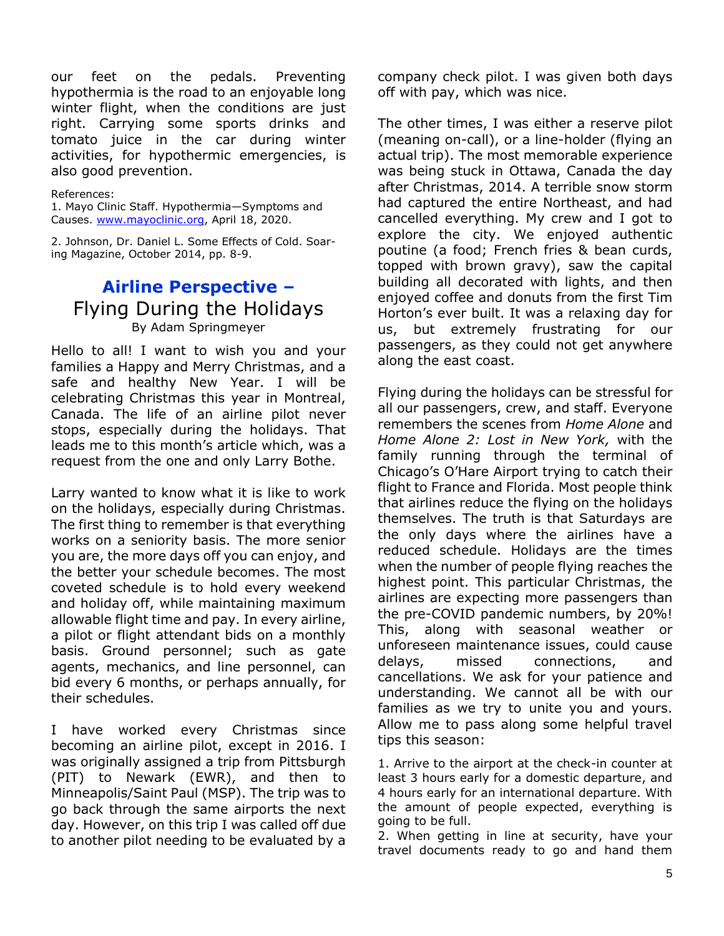our feet on the pedals. Preventing hypothermia is the road to an enjoyable long winter flight, when the conditions are just right. Carrying some sports drinks and tomato juice in the car during winter activities, for hypothermic emergencies, is also good prevention.

#### References:

1. Mayo Clinic Staff. Hypothermia—Symptoms and Causes. [www.mayoclinic.org,](http://www.mayoclinic.org/) April 18, 2020.

2. Johnson, Dr. Daniel L. Some Effects of Cold. Soaring Magazine, October 2014, pp. 8-9.

# **Airline Perspective –** Flying During the Holidays By Adam Springmeyer

Hello to all! I want to wish you and your families a Happy and Merry Christmas, and a safe and healthy New Year. I will be celebrating Christmas this year in Montreal, Canada. The life of an airline pilot never stops, especially during the holidays. That leads me to this month's article which, was a request from the one and only Larry Bothe.

Larry wanted to know what it is like to work on the holidays, especially during Christmas. The first thing to remember is that everything works on a seniority basis. The more senior you are, the more days off you can enjoy, and the better your schedule becomes. The most coveted schedule is to hold every weekend and holiday off, while maintaining maximum allowable flight time and pay. In every airline, a pilot or flight attendant bids on a monthly basis. Ground personnel; such as gate agents, mechanics, and line personnel, can bid every 6 months, or perhaps annually, for their schedules.

I have worked every Christmas since becoming an airline pilot, except in 2016. I was originally assigned a trip from Pittsburgh (PIT) to Newark (EWR), and then to Minneapolis/Saint Paul (MSP). The trip was to go back through the same airports the next day. However, on this trip I was called off due to another pilot needing to be evaluated by a company check pilot. I was given both days off with pay, which was nice.

The other times, I was either a reserve pilot (meaning on-call), or a line-holder (flying an actual trip). The most memorable experience was being stuck in Ottawa, Canada the day after Christmas, 2014. A terrible snow storm had captured the entire Northeast, and had cancelled everything. My crew and I got to explore the city. We enjoyed authentic poutine (a food; French fries & bean curds, topped with brown gravy), saw the capital building all decorated with lights, and then enjoyed coffee and donuts from the first Tim Horton's ever built. It was a relaxing day for us, but extremely frustrating for our passengers, as they could not get anywhere along the east coast.

Flying during the holidays can be stressful for all our passengers, crew, and staff. Everyone remembers the scenes from *Home Alone* and *Home Alone 2: Lost in New York,* with the family running through the terminal of Chicago's O'Hare Airport trying to catch their flight to France and Florida. Most people think that airlines reduce the flying on the holidays themselves. The truth is that Saturdays are the only days where the airlines have a reduced schedule. Holidays are the times when the number of people flying reaches the highest point. This particular Christmas, the airlines are expecting more passengers than the pre-COVID pandemic numbers, by 20%! This, along with seasonal weather or unforeseen maintenance issues, could cause delays, missed connections, and cancellations. We ask for your patience and understanding. We cannot all be with our families as we try to unite you and yours. Allow me to pass along some helpful travel tips this season:

1. Arrive to the airport at the check-in counter at least 3 hours early for a domestic departure, and 4 hours early for an international departure. With the amount of people expected, everything is going to be full.

2. When getting in line at security, have your travel documents ready to go and hand them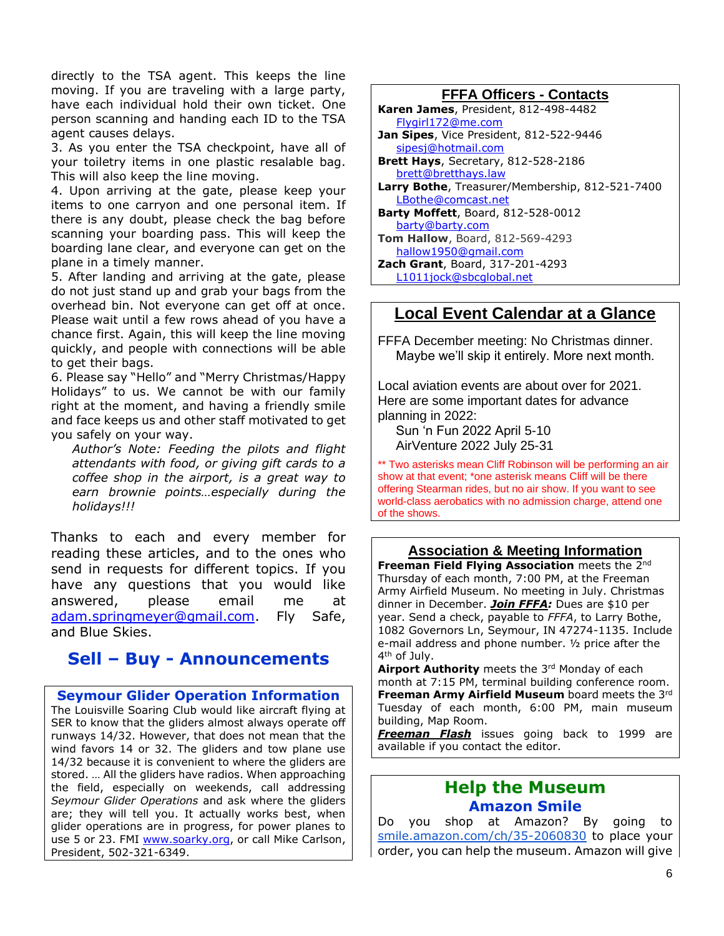directly to the TSA agent. This keeps the line moving. If you are traveling with a large party, have each individual hold their own ticket. One person scanning and handing each ID to the TSA agent causes delays.

3. As you enter the TSA checkpoint, have all of your toiletry items in one plastic resalable bag. This will also keep the line moving.

4. Upon arriving at the gate, please keep your items to one carryon and one personal item. If there is any doubt, please check the bag before scanning your boarding pass. This will keep the boarding lane clear, and everyone can get on the plane in a timely manner.

5. After landing and arriving at the gate, please do not just stand up and grab your bags from the overhead bin. Not everyone can get off at once. Please wait until a few rows ahead of you have a chance first. Again, this will keep the line moving quickly, and people with connections will be able to get their bags.

6. Please say "Hello" and "Merry Christmas/Happy Holidays" to us. We cannot be with our family right at the moment, and having a friendly smile and face keeps us and other staff motivated to get you safely on your way.

*Author's Note: Feeding the pilots and flight attendants with food, or giving gift cards to a coffee shop in the airport, is a great way to earn brownie points…especially during the holidays!!!*

Thanks to each and every member for reading these articles, and to the ones who send in requests for different topics. If you have any questions that you would like answered, please email me at [adam.springmeyer@gmail.com.](mailto:adam.springmeyer@gmail.com) Fly Safe, and Blue Skies.

# **Sell – Buy - Announcements**

**Seymour Glider Operation Information** The Louisville Soaring Club would like aircraft flying at SER to know that the gliders almost always operate off runways 14/32. However, that does not mean that the wind favors 14 or 32. The gliders and tow plane use 14/32 because it is convenient to where the gliders are stored. … All the gliders have radios. When approaching the field, especially on weekends, call addressing *Seymour Glider Operations* and ask where the gliders are; they will tell you. It actually works best, when glider operations are in progress, for power planes to use 5 or 23. FMI [www.soarky.org,](http://www.soarky.org/) or call Mike Carlson, President, 502-321-6349.

#### **FFFA Officers - Contacts**

- **Karen James**, President, 812-498-4482 [Flygirl172@me.com](mailto:Flygirl172@me.com)
- **Jan Sipes**, Vice President, 812-522-9446 [sipesj@hotmail.com](mailto:sipesj@hotmail.com)
- **Brett Hays**, Secretary, 812-528-2186 [brett@bretthays.law](mailto:brett@bretthays.law)
- **Larry Bothe**, Treasurer/Membership, 812-521-7400 [LBothe@comcast.net](mailto:LBothe@comcast.net)
- **Barty Moffett**, Board, 812-528-0012 [barty@barty.com](mailto:barty@barty.com) **Tom Hallow**, Board, 812-569-4293
- [hallow1950@gmail.com](mailto:hallow1950@gmail.com)
- **Zach Grant**, Board, 317-201-4293
	- [L1011jock@sbcglobal.net](mailto:L1011jock@sbcglobal.net)

## **Local Event Calendar at a Glance**

FFFA December meeting: No Christmas dinner. Maybe we'll skip it entirely. More next month.

Local aviation events are about over for 2021. Here are some important dates for advance planning in 2022:

 Sun 'n Fun 2022 April 5-10 AirVenture 2022 July 25-31

\*\* Two asterisks mean Cliff Robinson will be performing an air show at that event; \*one asterisk means Cliff will be there offering Stearman rides, but no air show. If you want to see world-class aerobatics with no admission charge, attend one of the shows.

#### **Association & Meeting Information**

**Freeman Field Flying Association** meets the 2nd Thursday of each month, 7:00 PM, at the Freeman Army Airfield Museum. No meeting in July. Christmas dinner in December. *Join FFFA:* Dues are \$10 per year. Send a check, payable to *FFFA*, to Larry Bothe, 1082 Governors Ln, Seymour, IN 47274-1135. Include e-mail address and phone number. ½ price after the 4<sup>th</sup> of July.

Airport Authority meets the 3rd Monday of each month at 7:15 PM, terminal building conference room. **Freeman Army Airfield Museum** board meets the 3rd Tuesday of each month, 6:00 PM, main museum building, Map Room.

*Freeman Flash* issues going back to 1999 are available if you contact the editor.

# **Help the Museum Amazon Smile**

Do you shop at Amazon? By going to [smile.amazon.com/ch/35-2060830](https://smile.amazon.com/gp/f.html?C=2G90H5KCIP85S&K=2VTXI0JVQ9P03&M=urn:rtn:msg:20200916150434fc881c11cab348d3a4f099162e20p0na&R=2UBM9H8M3BFTA&T=C&U=http%3A%2F%2FSMILE.AMAZON.COM%2Fch%2F35-2060830&H=CSZVRKAG4KHA6UFLZ5AQIJKTGP8A) to place your order, you can help the museum. Amazon will give